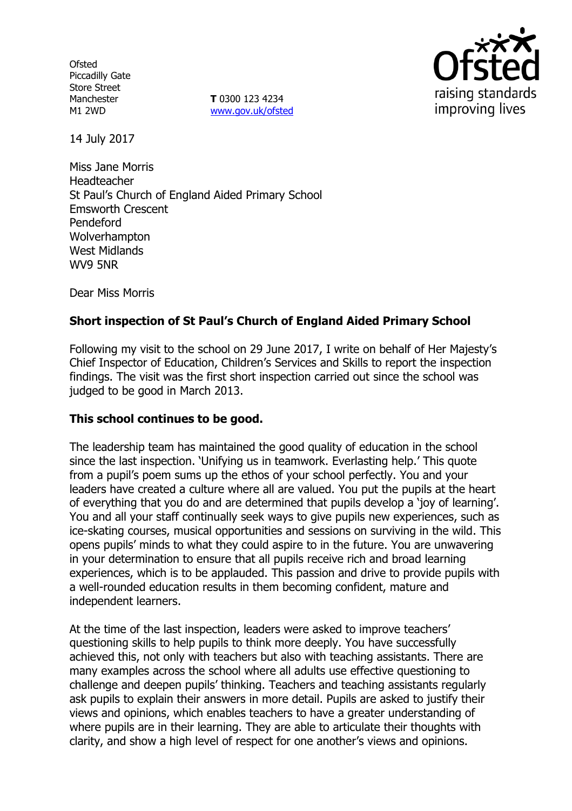**Ofsted** Piccadilly Gate Store Street Manchester M1 2WD

**T** 0300 123 4234 www.gov.uk/ofsted



14 July 2017

Miss Jane Morris Headteacher St Paul's Church of England Aided Primary School Emsworth Crescent Pendeford Wolverhampton West Midlands WV9 5NR

Dear Miss Morris

## **Short inspection of St Paul's Church of England Aided Primary School**

Following my visit to the school on 29 June 2017, I write on behalf of Her Majesty's Chief Inspector of Education, Children's Services and Skills to report the inspection findings. The visit was the first short inspection carried out since the school was judged to be good in March 2013.

### **This school continues to be good.**

The leadership team has maintained the good quality of education in the school since the last inspection. 'Unifying us in teamwork. Everlasting help.' This quote from a pupil's poem sums up the ethos of your school perfectly. You and your leaders have created a culture where all are valued. You put the pupils at the heart of everything that you do and are determined that pupils develop a 'joy of learning'. You and all your staff continually seek ways to give pupils new experiences, such as ice-skating courses, musical opportunities and sessions on surviving in the wild. This opens pupils' minds to what they could aspire to in the future. You are unwavering in your determination to ensure that all pupils receive rich and broad learning experiences, which is to be applauded. This passion and drive to provide pupils with a well-rounded education results in them becoming confident, mature and independent learners.

At the time of the last inspection, leaders were asked to improve teachers' questioning skills to help pupils to think more deeply. You have successfully achieved this, not only with teachers but also with teaching assistants. There are many examples across the school where all adults use effective questioning to challenge and deepen pupils' thinking. Teachers and teaching assistants regularly ask pupils to explain their answers in more detail. Pupils are asked to justify their views and opinions, which enables teachers to have a greater understanding of where pupils are in their learning. They are able to articulate their thoughts with clarity, and show a high level of respect for one another's views and opinions.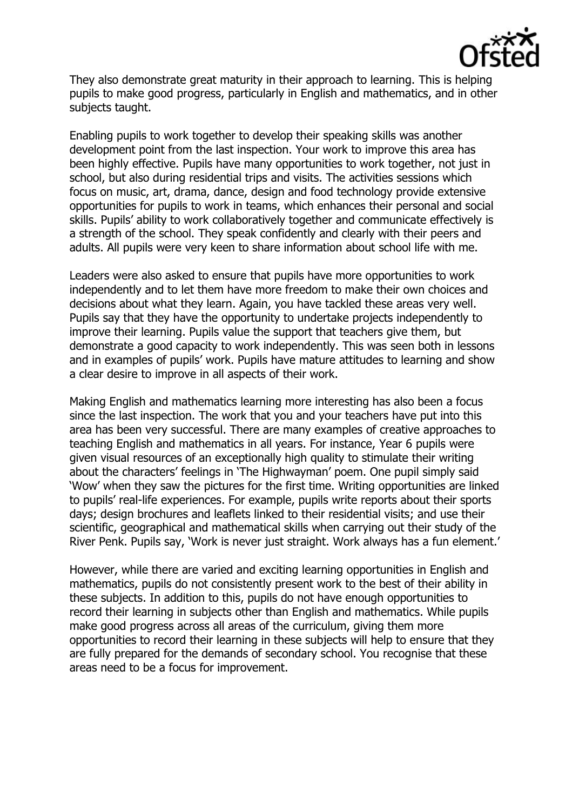

They also demonstrate great maturity in their approach to learning. This is helping pupils to make good progress, particularly in English and mathematics, and in other subjects taught.

Enabling pupils to work together to develop their speaking skills was another development point from the last inspection. Your work to improve this area has been highly effective. Pupils have many opportunities to work together, not just in school, but also during residential trips and visits. The activities sessions which focus on music, art, drama, dance, design and food technology provide extensive opportunities for pupils to work in teams, which enhances their personal and social skills. Pupils' ability to work collaboratively together and communicate effectively is a strength of the school. They speak confidently and clearly with their peers and adults. All pupils were very keen to share information about school life with me.

Leaders were also asked to ensure that pupils have more opportunities to work independently and to let them have more freedom to make their own choices and decisions about what they learn. Again, you have tackled these areas very well. Pupils say that they have the opportunity to undertake projects independently to improve their learning. Pupils value the support that teachers give them, but demonstrate a good capacity to work independently. This was seen both in lessons and in examples of pupils' work. Pupils have mature attitudes to learning and show a clear desire to improve in all aspects of their work.

Making English and mathematics learning more interesting has also been a focus since the last inspection. The work that you and your teachers have put into this area has been very successful. There are many examples of creative approaches to teaching English and mathematics in all years. For instance, Year 6 pupils were given visual resources of an exceptionally high quality to stimulate their writing about the characters' feelings in 'The Highwayman' poem. One pupil simply said 'Wow' when they saw the pictures for the first time. Writing opportunities are linked to pupils' real-life experiences. For example, pupils write reports about their sports days; design brochures and leaflets linked to their residential visits; and use their scientific, geographical and mathematical skills when carrying out their study of the River Penk. Pupils say, 'Work is never just straight. Work always has a fun element.'

However, while there are varied and exciting learning opportunities in English and mathematics, pupils do not consistently present work to the best of their ability in these subjects. In addition to this, pupils do not have enough opportunities to record their learning in subjects other than English and mathematics. While pupils make good progress across all areas of the curriculum, giving them more opportunities to record their learning in these subjects will help to ensure that they are fully prepared for the demands of secondary school. You recognise that these areas need to be a focus for improvement.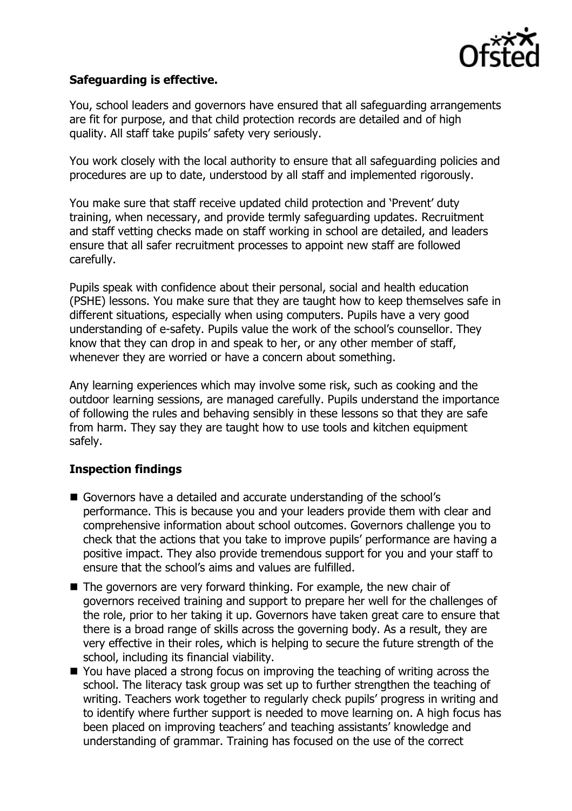

## **Safeguarding is effective.**

You, school leaders and governors have ensured that all safeguarding arrangements are fit for purpose, and that child protection records are detailed and of high quality. All staff take pupils' safety very seriously.

You work closely with the local authority to ensure that all safeguarding policies and procedures are up to date, understood by all staff and implemented rigorously.

You make sure that staff receive updated child protection and 'Prevent' duty training, when necessary, and provide termly safeguarding updates. Recruitment and staff vetting checks made on staff working in school are detailed, and leaders ensure that all safer recruitment processes to appoint new staff are followed carefully.

Pupils speak with confidence about their personal, social and health education (PSHE) lessons. You make sure that they are taught how to keep themselves safe in different situations, especially when using computers. Pupils have a very good understanding of e-safety. Pupils value the work of the school's counsellor. They know that they can drop in and speak to her, or any other member of staff, whenever they are worried or have a concern about something.

Any learning experiences which may involve some risk, such as cooking and the outdoor learning sessions, are managed carefully. Pupils understand the importance of following the rules and behaving sensibly in these lessons so that they are safe from harm. They say they are taught how to use tools and kitchen equipment safely.

# **Inspection findings**

- Governors have a detailed and accurate understanding of the school's performance. This is because you and your leaders provide them with clear and comprehensive information about school outcomes. Governors challenge you to check that the actions that you take to improve pupils' performance are having a positive impact. They also provide tremendous support for you and your staff to ensure that the school's aims and values are fulfilled.
- The governors are very forward thinking. For example, the new chair of governors received training and support to prepare her well for the challenges of the role, prior to her taking it up. Governors have taken great care to ensure that there is a broad range of skills across the governing body. As a result, they are very effective in their roles, which is helping to secure the future strength of the school, including its financial viability.
- You have placed a strong focus on improving the teaching of writing across the school. The literacy task group was set up to further strengthen the teaching of writing. Teachers work together to regularly check pupils' progress in writing and to identify where further support is needed to move learning on. A high focus has been placed on improving teachers' and teaching assistants' knowledge and understanding of grammar. Training has focused on the use of the correct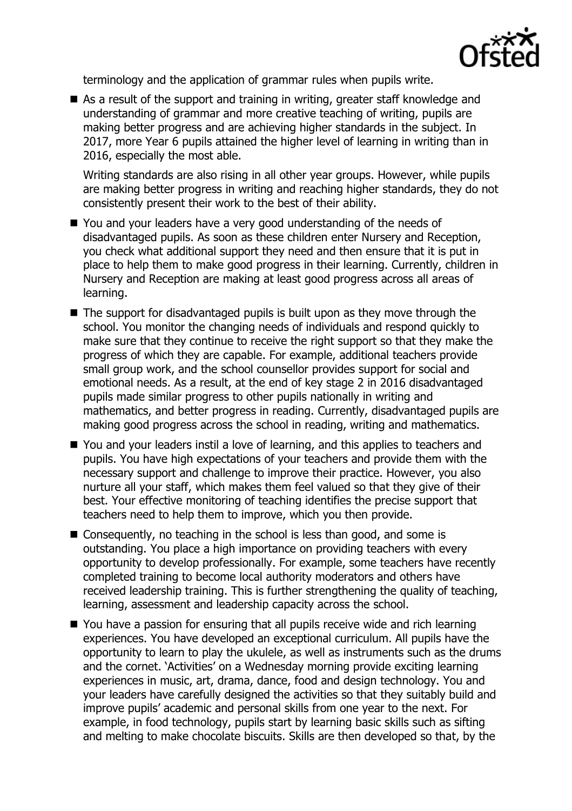

terminology and the application of grammar rules when pupils write.

■ As a result of the support and training in writing, greater staff knowledge and understanding of grammar and more creative teaching of writing, pupils are making better progress and are achieving higher standards in the subject. In 2017, more Year 6 pupils attained the higher level of learning in writing than in 2016, especially the most able.

Writing standards are also rising in all other year groups. However, while pupils are making better progress in writing and reaching higher standards, they do not consistently present their work to the best of their ability.

- You and your leaders have a very good understanding of the needs of disadvantaged pupils. As soon as these children enter Nursery and Reception, you check what additional support they need and then ensure that it is put in place to help them to make good progress in their learning. Currently, children in Nursery and Reception are making at least good progress across all areas of learning.
- The support for disadvantaged pupils is built upon as they move through the school. You monitor the changing needs of individuals and respond quickly to make sure that they continue to receive the right support so that they make the progress of which they are capable. For example, additional teachers provide small group work, and the school counsellor provides support for social and emotional needs. As a result, at the end of key stage 2 in 2016 disadvantaged pupils made similar progress to other pupils nationally in writing and mathematics, and better progress in reading. Currently, disadvantaged pupils are making good progress across the school in reading, writing and mathematics.
- You and your leaders instil a love of learning, and this applies to teachers and pupils. You have high expectations of your teachers and provide them with the necessary support and challenge to improve their practice. However, you also nurture all your staff, which makes them feel valued so that they give of their best. Your effective monitoring of teaching identifies the precise support that teachers need to help them to improve, which you then provide.
- Consequently, no teaching in the school is less than good, and some is outstanding. You place a high importance on providing teachers with every opportunity to develop professionally. For example, some teachers have recently completed training to become local authority moderators and others have received leadership training. This is further strengthening the quality of teaching, learning, assessment and leadership capacity across the school.
- You have a passion for ensuring that all pupils receive wide and rich learning experiences. You have developed an exceptional curriculum. All pupils have the opportunity to learn to play the ukulele, as well as instruments such as the drums and the cornet. 'Activities' on a Wednesday morning provide exciting learning experiences in music, art, drama, dance, food and design technology. You and your leaders have carefully designed the activities so that they suitably build and improve pupils' academic and personal skills from one year to the next. For example, in food technology, pupils start by learning basic skills such as sifting and melting to make chocolate biscuits. Skills are then developed so that, by the